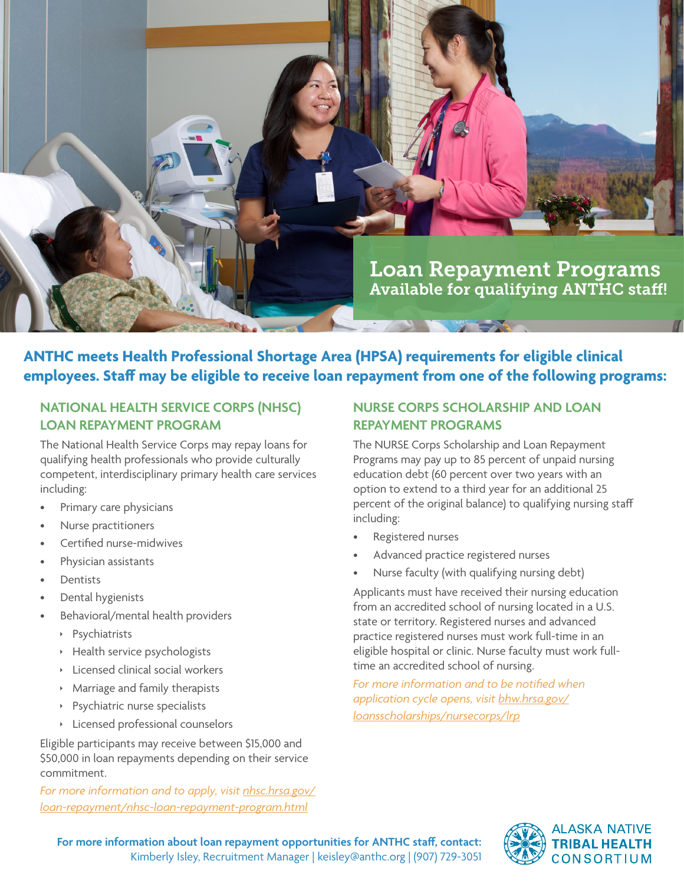

**ANTHC meets Health Professional Shortage Area (HPSA) requirements for eligible clinical employees. Staff may be eligible to receive loan repayment from one of the following programs:**

## **NATIONAL HEALTH SERVICE CORPS (NHSC) LOAN REPAYMENT PROGRAM**

The National Health Service Corps may repay loans for qualifying health professionals who provide culturally competent, interdisciplinary primary health care services including:

- Primary care physicians
- Nurse practitioners
- Certified nurse-midwives
- Physician assistants
- Dentists
- Dental hygienists
- Behavioral/mental health providers
	- **Psychiatrists**
	- $\rightarrow$  Health service psychologists
	- $\rightarrow$  Licensed clinical social workers
	- $\triangleright$  Marriage and family therapists
	- $\rightarrow$  Psychiatric nurse specialists
	- $\rightarrow$  Licensed professional counselors

Eligible participants may receive between \$15,000 and \$50,000 in loan repayments depending on their service commitment.

*For more information and to apply, visit [nhsc.hrsa.gov/](http://nhsc.hrsa.gov/loan-repayment/nhsc-loan-repayment-program.html) [loan-repayment/nhsc-loan-repayment-program.html](http://nhsc.hrsa.gov/loan-repayment/nhsc-loan-repayment-program.html)*

## **NURSE CORPS SCHOLARSHIP AND LOAN REPAYMENT PROGRAMS**

The NURSE Corps Scholarship and Loan Repayment Programs may pay up to 85 percent of unpaid nursing education debt (60 percent over two years with an option to extend to a third year for an additional 25 percent of the original balance) to qualifying nursing staff including:

- Registered nurses
- Advanced practice registered nurses
- Nurse faculty (with qualifying nursing debt)

Applicants must have received their nursing education from an accredited school of nursing located in a U.S. state or territory. Registered nurses and advanced practice registered nurses must work full-time in an eligible hospital or clinic. Nurse faculty must work fulltime an accredited school of nursing.

*For more information and to be notified when application cycle opens, visit [bhw.hrsa.gov/](http://bhw.hrsa.gov/loansscholarships/nursecorps/lrp) [loansscholarships/nursecorps/lrp](http://bhw.hrsa.gov/loansscholarships/nursecorps/lrp)*